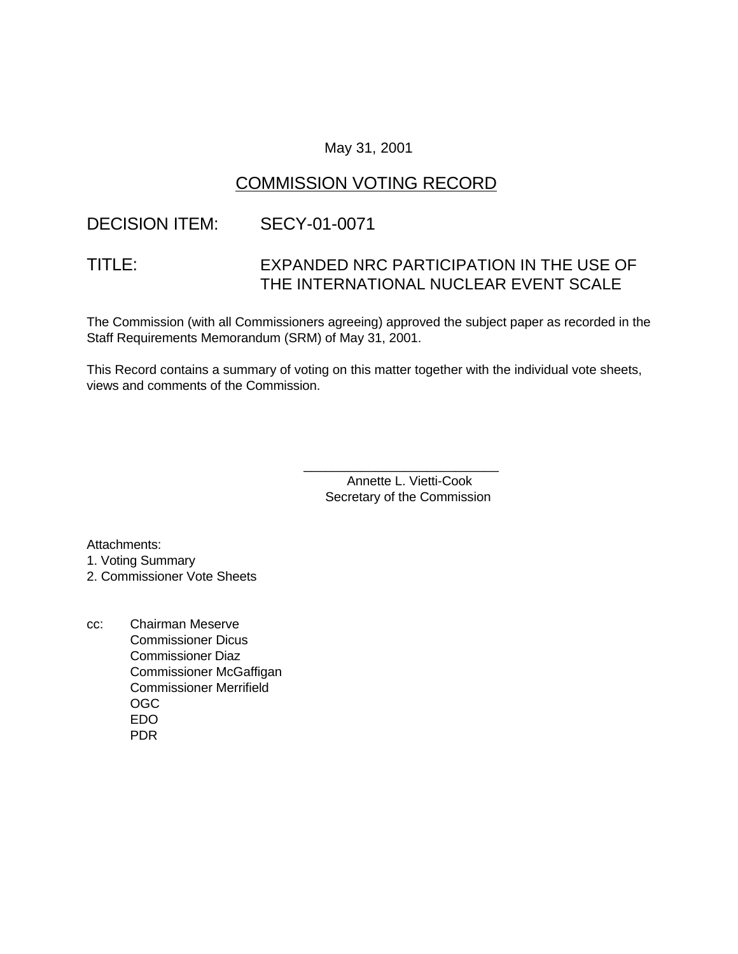### May 31, 2001

# COMMISSION VOTING RECORD

### DECISION ITEM: SECY-01-0071

# TITLE: EXPANDED NRC PARTICIPATION IN THE USE OF THE INTERNATIONAL NUCLEAR EVENT SCALE

The Commission (with all Commissioners agreeing) approved the subject paper as recorded in the Staff Requirements Memorandum (SRM) of May 31, 2001.

This Record contains a summary of voting on this matter together with the individual vote sheets, views and comments of the Commission.

> Annette L. Vietti-Cook Secretary of the Commission

\_\_\_\_\_\_\_\_\_\_\_\_\_\_\_\_\_\_\_\_\_\_\_\_\_\_\_

Attachments:

1. Voting Summary

2. Commissioner Vote Sheets

cc: Chairman Meserve Commissioner Dicus Commissioner Diaz Commissioner McGaffigan Commissioner Merrifield OGC EDO PDR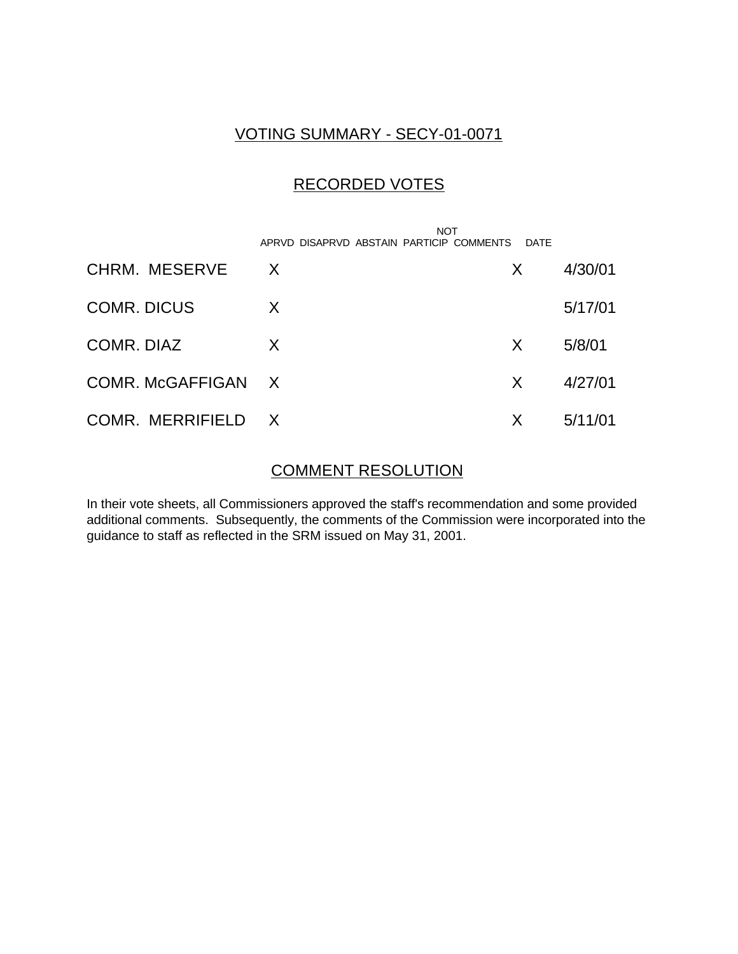# VOTING SUMMARY - SECY-01-0071

# RECORDED VOTES

|                    | <b>NOT</b><br>APRVD DISAPRVD ABSTAIN PARTICIP COMMENTS | <b>DATE</b> |         |
|--------------------|--------------------------------------------------------|-------------|---------|
| CHRM. MESERVE      | X                                                      | X           | 4/30/01 |
| <b>COMR. DICUS</b> | X                                                      |             | 5/17/01 |
| COMR, DIAZ         | X                                                      | X           | 5/8/01  |
| COMR. McGAFFIGAN X |                                                        | X.          | 4/27/01 |
| COMR. MERRIFIELD X |                                                        | X           | 5/11/01 |

### COMMENT RESOLUTION

In their vote sheets, all Commissioners approved the staff's recommendation and some provided additional comments. Subsequently, the comments of the Commission were incorporated into the guidance to staff as reflected in the SRM issued on May 31, 2001.